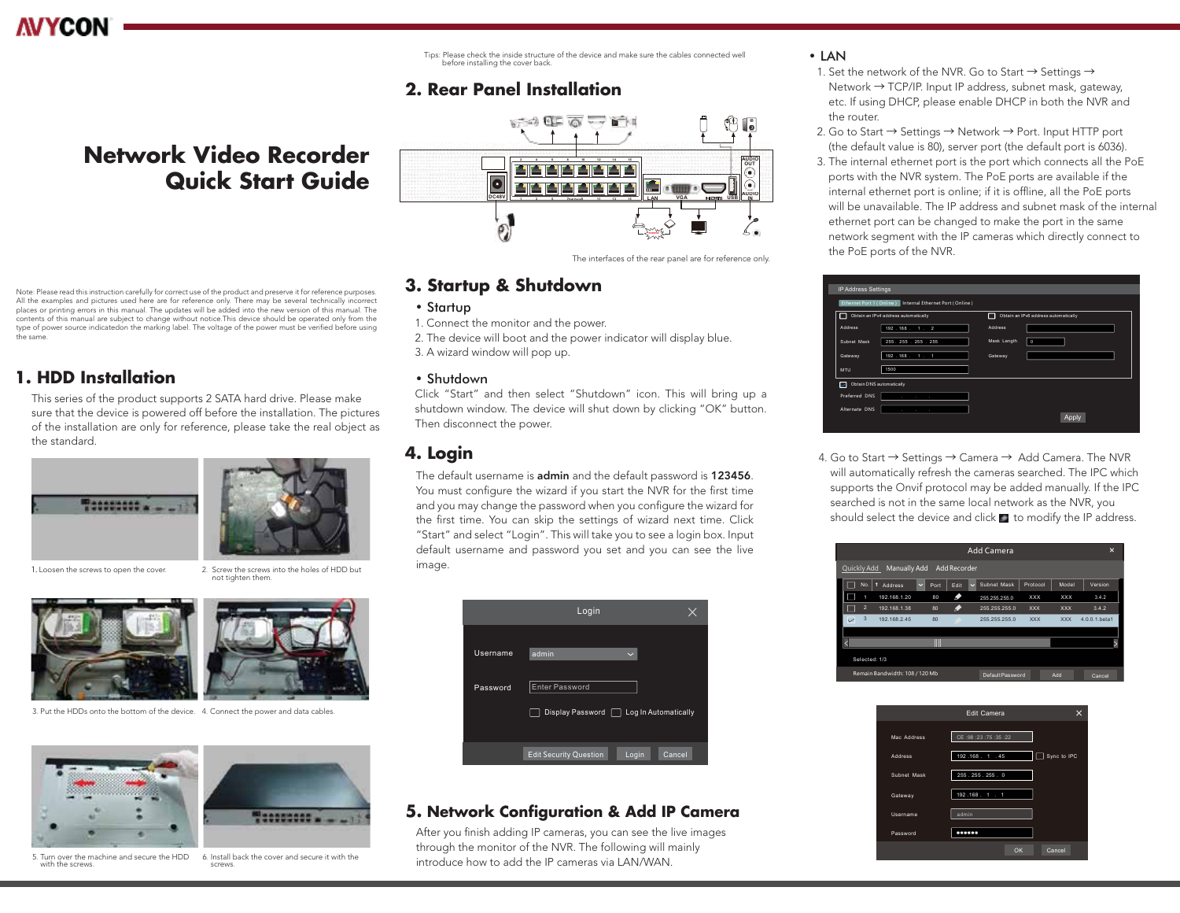Tips: Please check the inside structure of the device and make sure the cables connected well before installing the cover back.

### **2. Rear Panel Installation**

## **Network Video Recorder Quick Start Guide**



#### The interfaces of the rear panel are for reference only.

### **3. Startup & Shutdown**

- Startup
- 1. Connect the monitor and the power.
- 2. The device will boot and the power indicator will display blue.
- 3. A wizard window will pop up.

#### • Shutdown

Click "Start" and then select "Shutdown" icon. This will bring up a shutdown window. The device will shut down by clicking "OK" button. Then disconnect the power.

### **4. Login**

The default username is admin and the default password is 123456. You must configure the wizard if you start the NVR for the first time and you may change the password when you configure the wizard for the first time. You can skip the settings of wizard next time. Click "Start" and select "Login". This will take you to see a login box. Input default username and password you set and you can see the live image.



### **5. Network Configuration & Add IP Camera**

After you finish adding IP cameras, you can see the live images through the monitor of the NVR. The following will mainly introduce how to add the IP cameras via LAN/WAN.

### • LAN

- 1. Set the network of the NVR. Go to Start  $\rightarrow$  Settings  $\rightarrow$  Network → TCP/IP. Input IP address, subnet mask, gateway, etc. If using DHCP, please enable DHCP in both the NVR and the router.
- 2. Go to Start → Settings → Network → Port. Input HTTP port (the default value is 80), server port (the default port is 6036).
- 3. The internal ethernet port is the port which connects all the PoE ports with the NVR system. The PoE ports are available if the internal ethernet port is online; if it is offline, all the PoE ports will be unavailable. The IP address and subnet mask of the internal ethernet port can be changed to make the port in the same network segment with the IP cameras which directly connect to the PoE ports of the NVR.



4. Go to Start → Settings → Camera → Add Camera. The NVR will automatically refresh the cameras searched. The IPC which supports the Onvif protocol may be added manually. If the IPC searched is not in the same local network as the NVR, you should select the device and click  $\blacksquare$  to modify the IP address.





Note: Please read this instruction carefully for correct use of the product and preserve it for reference purposes. All the examples and pictures used here are for reference only. There may be several technically incorrect places or printing errors in this manual. The updates will be added into the new version of this manual. The contents of this manual are subject to change without notice.This device should be operated only from the type of power source indicatedon the marking label. The voltage of the power must be verified before using the same.

### **1. HDD Installation**

This series of the product supports 2 SATA hard drive. Please make sure that the device is powered off before the installation. The pictures of the installation are only for reference, please take the real object as the standard.





not tighten them.

1. Loosen the screws to open the cover. 2. Screw the screws into the holes of HDD but





3. Put the HDDs onto the bottom of the device. 4. Connect the power and data cables.